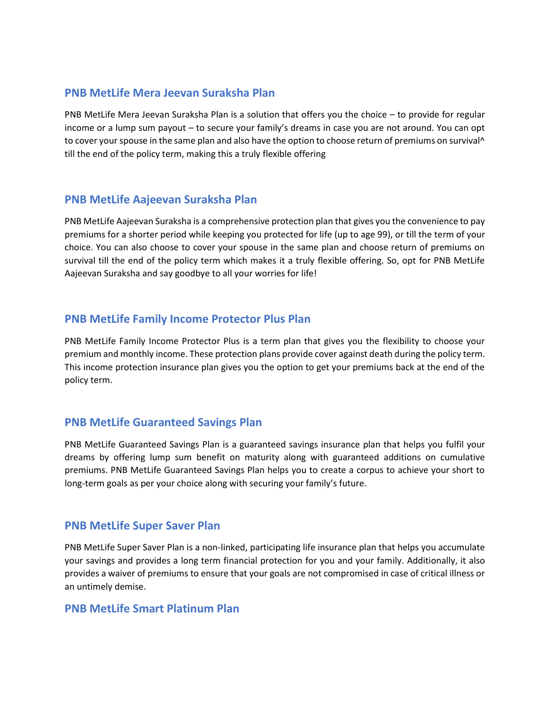# **PNB MetLife Mera Jeevan Suraksha Plan**

PNB MetLife Mera Jeevan Suraksha Plan is a solution that offers you the choice – to provide for regular income or a lump sum payout – to secure your family's dreams in case you are not around. You can opt to cover your spouse in the same plan and also have the option to choose return of premiums on survival<sup>1</sup> till the end of the policy term, making this a truly flexible offering

# **PNB MetLife Aajeevan Suraksha Plan**

PNB MetLife Aajeevan Suraksha is a comprehensive protection plan that gives you the convenience to pay premiums for a shorter period while keeping you protected for life (up to age 99), or till the term of your choice. You can also choose to cover your spouse in the same plan and choose return of premiums on survival till the end of the policy term which makes it a truly flexible offering. So, opt for PNB MetLife Aajeevan Suraksha and say goodbye to all your worries for life!

# **PNB MetLife Family Income Protector Plus Plan**

PNB MetLife Family Income Protector Plus is a term plan that gives you the flexibility to choose your premium and monthly income. These protection plans provide cover against death during the policy term. This income protection insurance plan gives you the option to get your premiums back at the end of the policy term.

# **PNB MetLife Guaranteed Savings Plan**

PNB MetLife Guaranteed Savings Plan is a guaranteed savings insurance plan that helps you fulfil your dreams by offering lump sum benefit on maturity along with guaranteed additions on cumulative premiums. PNB MetLife Guaranteed Savings Plan helps you to create a corpus to achieve your short to long-term goals as per your choice along with securing your family's future.

### **PNB MetLife Super Saver Plan**

PNB MetLife Super Saver Plan is a non-linked, participating life insurance plan that helps you accumulate your savings and provides a long term financial protection for you and your family. Additionally, it also provides a waiver of premiums to ensure that your goals are not compromised in case of critical illness or an untimely demise.

### **PNB MetLife Smart Platinum Plan**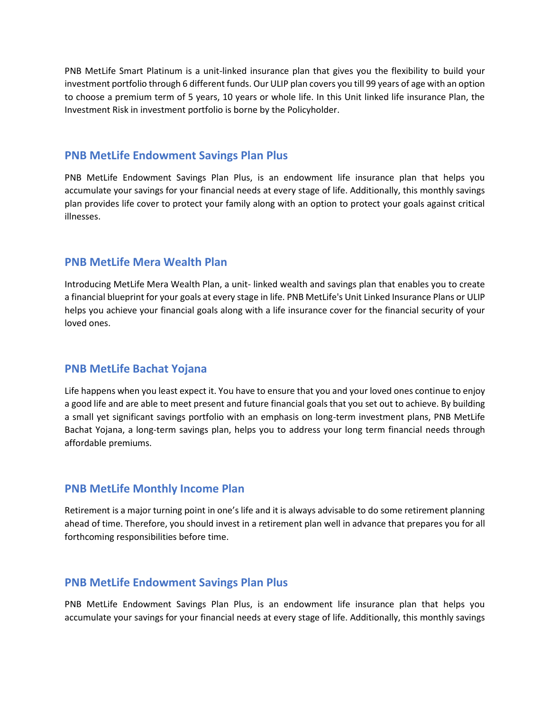PNB MetLife Smart Platinum is a unit-linked insurance plan that gives you the flexibility to build your investment portfolio through 6 different funds. Our ULIP plan covers you till 99 years of age with an option to choose a premium term of 5 years, 10 years or whole life. In this Unit linked life insurance Plan, the Investment Risk in investment portfolio is borne by the Policyholder.

#### **PNB MetLife Endowment Savings Plan Plus**

PNB MetLife Endowment Savings Plan Plus, is an endowment life insurance plan that helps you accumulate your savings for your financial needs at every stage of life. Additionally, this monthly savings plan provides life cover to protect your family along with an option to protect your goals against critical illnesses.

#### **PNB MetLife Mera Wealth Plan**

Introducing MetLife Mera Wealth Plan, a unit- linked wealth and savings plan that enables you to create a financial blueprint for your goals at every stage in life. PNB MetLife's Unit Linked Insurance Plans or ULIP helps you achieve your financial goals along with a life insurance cover for the financial security of your loved ones.

### **PNB MetLife Bachat Yojana**

Life happens when you least expect it. You have to ensure that you and your loved ones continue to enjoy a good life and are able to meet present and future financial goals that you set out to achieve. By building a small yet significant savings portfolio with an emphasis on long-term investment plans, PNB MetLife Bachat Yojana, a long-term savings plan, helps you to address your long term financial needs through affordable premiums.

### **PNB MetLife Monthly Income Plan**

Retirement is a major turning point in one's life and it is always advisable to do some retirement planning ahead of time. Therefore, you should invest in a retirement plan well in advance that prepares you for all forthcoming responsibilities before time.

### **PNB MetLife Endowment Savings Plan Plus**

PNB MetLife Endowment Savings Plan Plus, is an endowment life insurance plan that helps you accumulate your savings for your financial needs at every stage of life. Additionally, this monthly savings